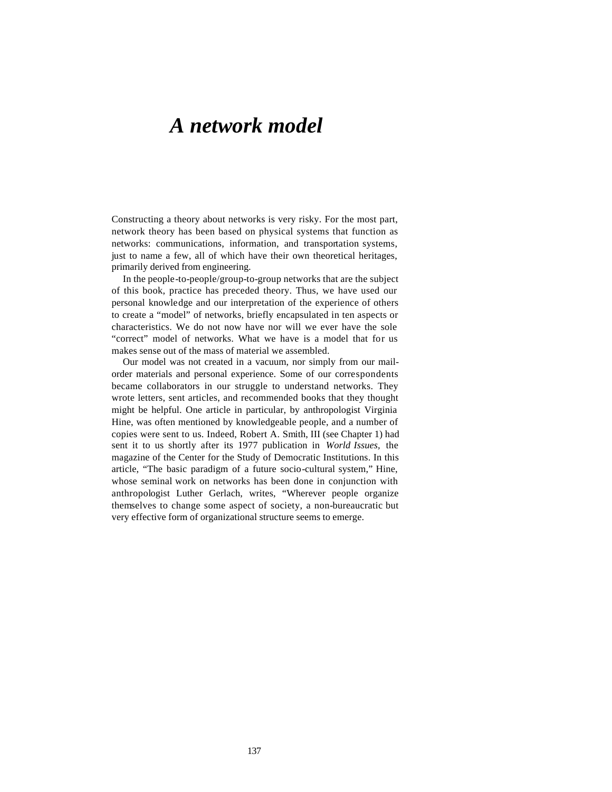# *A network model*

Constructing a theory about networks is very risky. For the most part, network theory has been based on physical systems that function as networks: communications, information, and transportation systems, just to name a few, all of which have their own theoretical heritages, primarily derived from engineering.

In the people-to-people/group-to-group networks that are the subject of this book, practice has preceded theory. Thus, we have used our personal knowledge and our interpretation of the experience of others to create a "model" of networks, briefly encapsulated in ten aspects or characteristics. We do not now have nor will we ever have the sole "correct" model of networks. What we have is a model that for us makes sense out of the mass of material we assembled.

Our model was not created in a vacuum, nor simply from our mailorder materials and personal experience. Some of our correspondents became collaborators in our struggle to understand networks. They wrote letters, sent articles, and recommended books that they thought might be helpful. One article in particular, by anthropologist Virginia Hine, was often mentioned by knowledgeable people, and a number of copies were sent to us. Indeed, Robert A. Smith, III (see Chapter 1) had sent it to us shortly after its 1977 publication in *World Issues,* the magazine of the Center for the Study of Democratic Institutions. In this article, "The basic paradigm of a future socio-cultural system," Hine, whose seminal work on networks has been done in conjunction with anthropologist Luther Gerlach, writes, "Wherever people organize themselves to change some aspect of society, a non-bureaucratic but very effective form of organizational structure seems to emerge.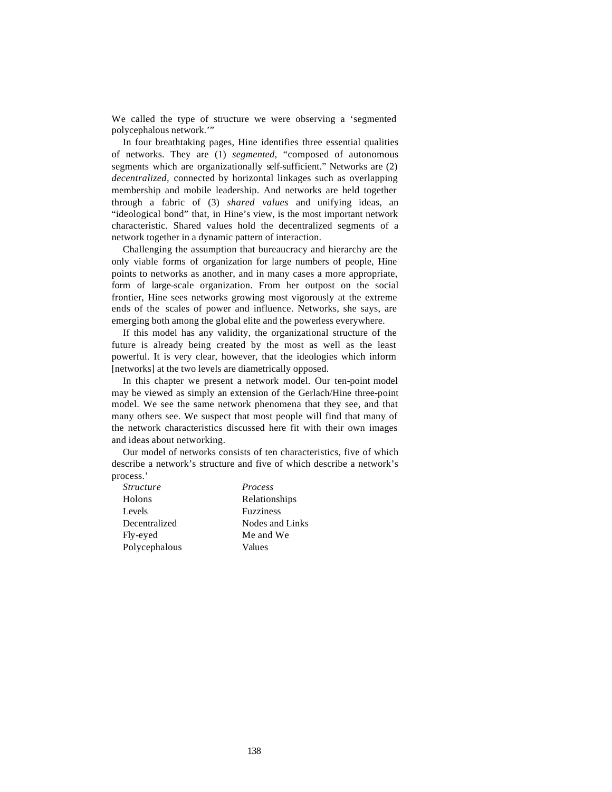We called the type of structure we were observing a 'segmented polycephalous network.'"

In four breathtaking pages, Hine identifies three essential qualities of networks. They are (1) *segmented,* "composed of autonomous segments which are organizationally self-sufficient." Networks are (2) *decentralized,* connected by horizontal linkages such as overlapping membership and mobile leadership. And networks are held together through a fabric of (3) *shared values* and unifying ideas, an "ideological bond" that, in Hine's view, is the most important network characteristic. Shared values hold the decentralized segments of a network together in a dynamic pattern of interaction.

Challenging the assumption that bureaucracy and hierarchy are the only viable forms of organization for large numbers of people, Hine points to networks as another, and in many cases a more appropriate, form of large-scale organization. From her outpost on the social frontier, Hine sees networks growing most vigorously at the extreme ends of the scales of power and influence. Networks, she says, are emerging both among the global elite and the powerless everywhere.

If this model has any validity, the organizational structure of the future is already being created by the most as well as the least powerful. It is very clear, however, that the ideologies which inform [networks] at the two levels are diametrically opposed.

In this chapter we present a network model. Our ten-point model may be viewed as simply an extension of the Gerlach/Hine three-point model. We see the same network phenomena that they see, and that many others see. We suspect that most people will find that many of the network characteristics discussed here fit with their own images and ideas about networking.

Our model of networks consists of ten characteristics, five of which describe a network's structure and five of which describe a network's process.'

| <i>Structure</i> | <i>Process</i>   |
|------------------|------------------|
| Holons           | Relationships    |
| Levels           | <b>Fuzziness</b> |
| Decentralized    | Nodes and Links  |
| Fly-eyed         | Me and We        |
| Polycephalous    | Values           |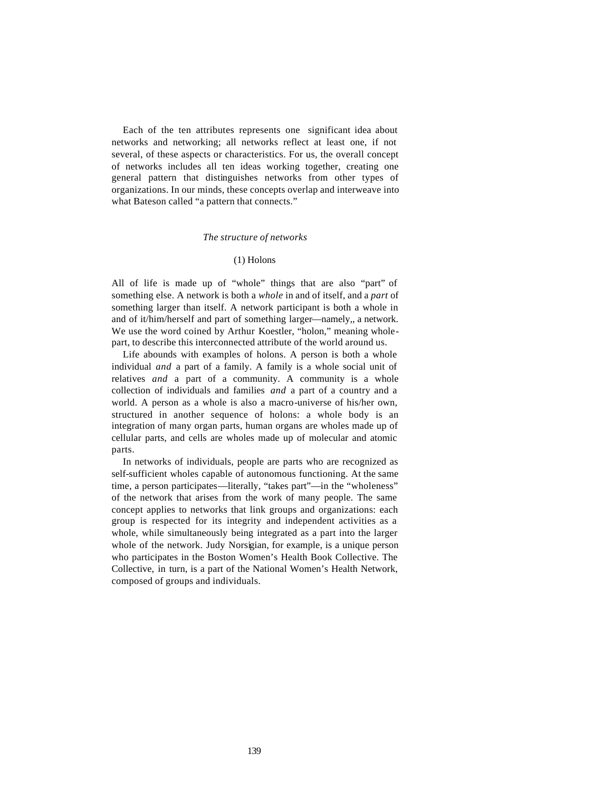Each of the ten attributes represents one significant idea about networks and networking; all networks reflect at least one, if not several, of these aspects or characteristics. For us, the overall concept of networks includes all ten ideas working together, creating one general pattern that distinguishes networks from other types of organizations. In our minds, these concepts overlap and interweave into what Bateson called "a pattern that connects."

#### *The structure of networks*

# (1) Holons

All of life is made up of "whole" things that are also "part" of something else. A network is both a *whole* in and of itself, and a *part* of something larger than itself. A network participant is both a whole in and of it/him/herself and part of something larger—namely,, a network. We use the word coined by Arthur Koestler, "holon," meaning wholepart, to describe this interconnected attribute of the world around us.

Life abounds with examples of holons. A person is both a whole individual *and* a part of a family. A family is a whole social unit of relatives *and* a part of a community. A community is a whole collection of individuals and families *and* a part of a country and a world. A person as a whole is also a macro-universe of his/her own, structured in another sequence of holons: a whole body is an integration of many organ parts, human organs are wholes made up of cellular parts, and cells are wholes made up of molecular and atomic parts.

In networks of individuals, people are parts who are recognized as self-sufficient wholes capable of autonomous functioning. At the same time, a person participates—literally, "takes part"—in the "wholeness" of the network that arises from the work of many people. The same concept applies to networks that link groups and organizations: each group is respected for its integrity and independent activities as a whole, while simultaneously being integrated as a part into the larger whole of the network. Judy Norsigian, for example, is a unique person who participates in the Boston Women's Health Book Collective. The Collective, in turn, is a part of the National Women's Health Network, composed of groups and individuals.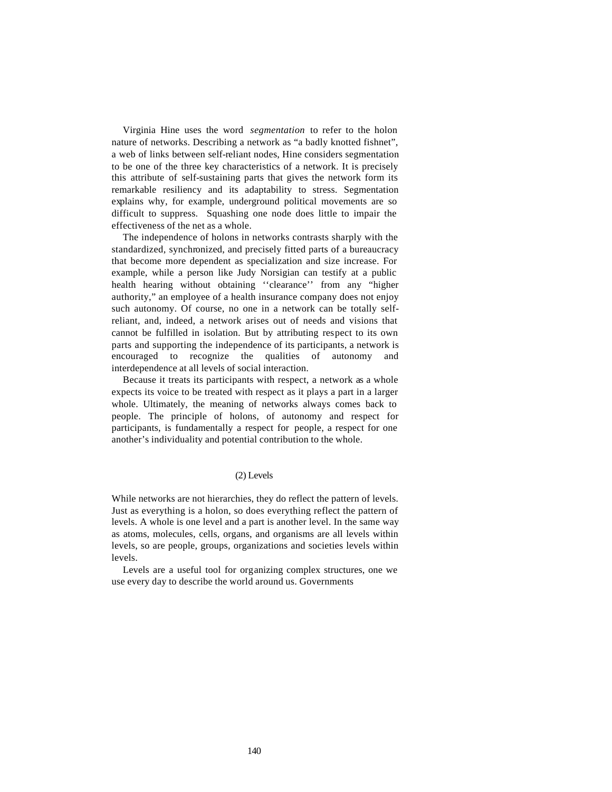Virginia Hine uses the word *segmentation* to refer to the holon nature of networks. Describing a network as "a badly knotted fishnet", a web of links between self-reliant nodes, Hine considers segmentation to be one of the three key characteristics of a network. It is precisely this attribute of self-sustaining parts that gives the network form its remarkable resiliency and its adaptability to stress. Segmentation explains why, for example, underground political movements are so difficult to suppress. Squashing one node does little to impair the effectiveness of the net as a whole.

The independence of holons in networks contrasts sharply with the standardized, synchronized, and precisely fitted parts of a bureaucracy that become more dependent as specialization and size increase. For example, while a person like Judy Norsigian can testify at a public health hearing without obtaining ''clearance'' from any "higher authority," an employee of a health insurance company does not enjoy such autonomy. Of course, no one in a network can be totally selfreliant, and, indeed, a network arises out of needs and visions that cannot be fulfilled in isolation. But by attributing respect to its own parts and supporting the independence of its participants, a network is encouraged to recognize the qualities of autonomy and interdependence at all levels of social interaction.

Because it treats its participants with respect, a network as a whole expects its voice to be treated with respect as it plays a part in a larger whole. Ultimately, the meaning of networks always comes back to people. The principle of holons, of autonomy and respect for participants, is fundamentally a respect for people, a respect for one another's individuality and potential contribution to the whole.

#### (2) Levels

While networks are not hierarchies, they do reflect the pattern of levels. Just as everything is a holon, so does everything reflect the pattern of levels. A whole is one level and a part is another level. In the same way as atoms, molecules, cells, organs, and organisms are all levels within levels, so are people, groups, organizations and societies levels within levels.

Levels are a useful tool for organizing complex structures, one we use every day to describe the world around us. Governments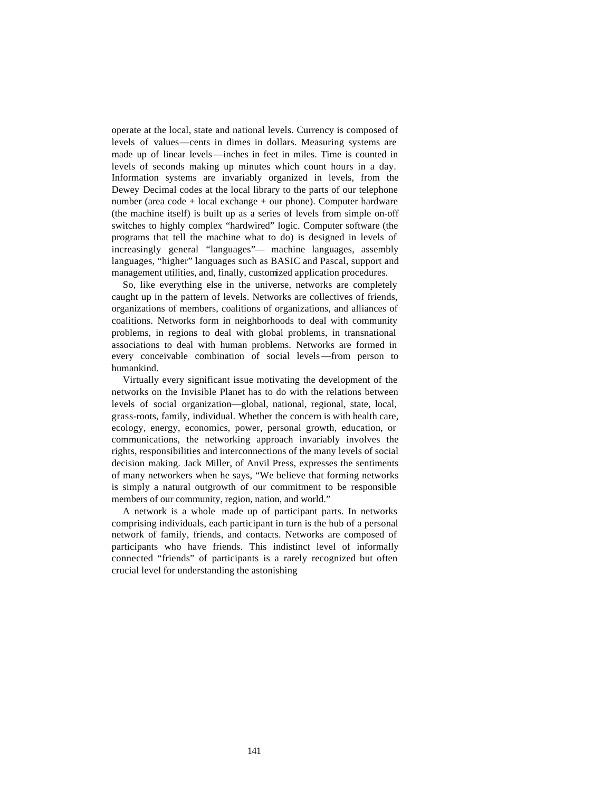operate at the local, state and national levels. Currency is composed of levels of values—cents in dimes in dollars. Measuring systems are made up of linear levels—inches in feet in miles. Time is counted in levels of seconds making up minutes which count hours in a day. Information systems are invariably organized in levels, from the Dewey Decimal codes at the local library to the parts of our telephone number (area code + local exchange + our phone). Computer hardware (the machine itself) is built up as a series of levels from simple on-off switches to highly complex "hardwired" logic. Computer software (the programs that tell the machine what to do) is designed in levels of increasingly general "languages"— machine languages, assembly languages, "higher" languages such as BASIC and Pascal, support and management utilities, and, finally, customized application procedures.

So, like everything else in the universe, networks are completely caught up in the pattern of levels. Networks are collectives of friends, organizations of members, coalitions of organizations, and alliances of coalitions. Networks form in neighborhoods to deal with community problems, in regions to deal with global problems, in transnational associations to deal with human problems. Networks are formed in every conceivable combination of social levels—from person to humankind.

Virtually every significant issue motivating the development of the networks on the Invisible Planet has to do with the relations between levels of social organization—global, national, regional, state, local, grass-roots, family, individual. Whether the concern is with health care, ecology, energy, economics, power, personal growth, education, or communications, the networking approach invariably involves the rights, responsibilities and interconnections of the many levels of social decision making. Jack Miller, of Anvil Press, expresses the sentiments of many networkers when he says, "We believe that forming networks is simply a natural outgrowth of our commitment to be responsible members of our community, region, nation, and world."

A network is a whole made up of participant parts. In networks comprising individuals, each participant in turn is the hub of a personal network of family, friends, and contacts. Networks are composed of participants who have friends. This indistinct level of informally connected "friends" of participants is a rarely recognized but often crucial level for understanding the astonishing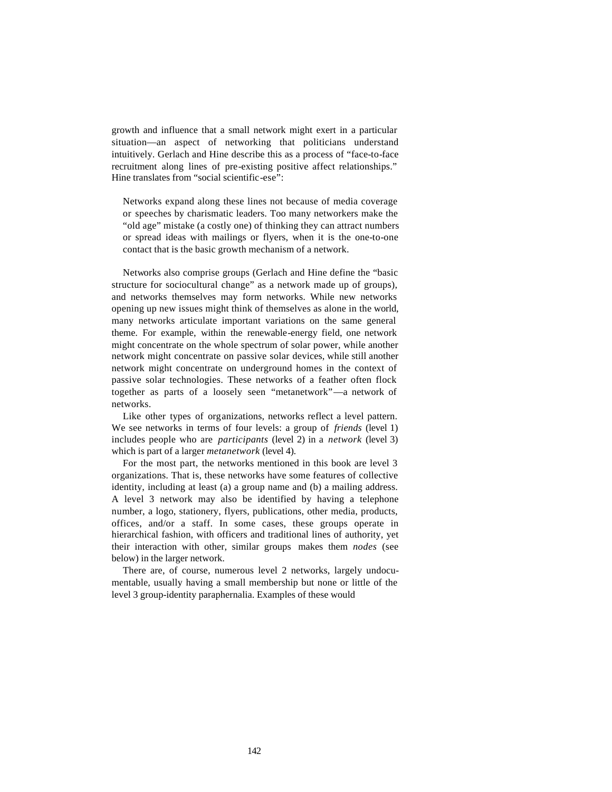growth and influence that a small network might exert in a particular situation—an aspect of networking that politicians understand intuitively. Gerlach and Hine describe this as a process of "face-to-face recruitment along lines of pre-existing positive affect relationships." Hine translates from "social scientific-ese":

Networks expand along these lines not because of media coverage or speeches by charismatic leaders. Too many networkers make the "old age" mistake (a costly one) of thinking they can attract numbers or spread ideas with mailings or flyers, when it is the one-to-one contact that is the basic growth mechanism of a network.

Networks also comprise groups (Gerlach and Hine define the "basic structure for sociocultural change" as a network made up of groups), and networks themselves may form networks. While new networks opening up new issues might think of themselves as alone in the world, many networks articulate important variations on the same general theme. For example, within the renewable-energy field, one network might concentrate on the whole spectrum of solar power, while another network might concentrate on passive solar devices, while still another network might concentrate on underground homes in the context of passive solar technologies. These networks of a feather often flock together as parts of a loosely seen "metanetwork"—a network of networks.

Like other types of organizations, networks reflect a level pattern. We see networks in terms of four levels: a group of *friends* (level 1) includes people who are *participants* (level 2) in a *network* (level 3) which is part of a larger *metanetwork* (level 4).

For the most part, the networks mentioned in this book are level 3 organizations. That is, these networks have some features of collective identity, including at least (a) a group name and (b) a mailing address. A level 3 network may also be identified by having a telephone number, a logo, stationery, flyers, publications, other media, products, offices, and/or a staff. In some cases, these groups operate in hierarchical fashion, with officers and traditional lines of authority, yet their interaction with other, similar groups makes them *nodes* (see below) in the larger network.

There are, of course, numerous level 2 networks, largely undocumentable, usually having a small membership but none or little of the level 3 group-identity paraphernalia. Examples of these would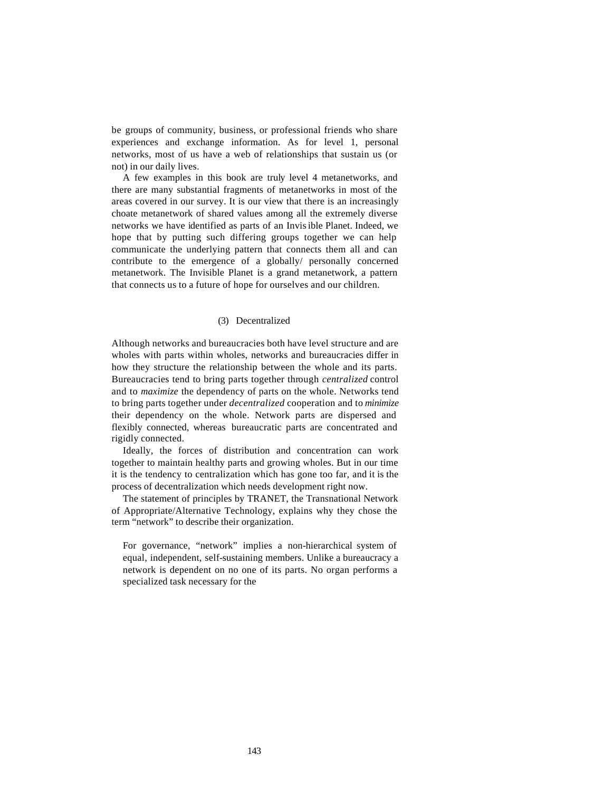be groups of community, business, or professional friends who share experiences and exchange information. As for level 1, personal networks, most of us have a web of relationships that sustain us (or not) in our daily lives.

A few examples in this book are truly level 4 metanetworks, and there are many substantial fragments of metanetworks in most of the areas covered in our survey. It is our view that there is an increasingly choate metanetwork of shared values among all the extremely diverse networks we have identified as parts of an Invisible Planet. Indeed, we hope that by putting such differing groups together we can help communicate the underlying pattern that connects them all and can contribute to the emergence of a globally/ personally concerned metanetwork. The Invisible Planet is a grand metanetwork, a pattern that connects us to a future of hope for ourselves and our children.

# (3) Decentralized

Although networks and bureaucracies both have level structure and are wholes with parts within wholes, networks and bureaucracies differ in how they structure the relationship between the whole and its parts. Bureaucracies tend to bring parts together through *centralized* control and to *maximize* the dependency of parts on the whole. Networks tend to bring parts together under *decentralized* cooperation and to *minimize*  their dependency on the whole. Network parts are dispersed and flexibly connected, whereas bureaucratic parts are concentrated and rigidly connected.

Ideally, the forces of distribution and concentration can work together to maintain healthy parts and growing wholes. But in our time it is the tendency to centralization which has gone too far, and it is the process of decentralization which needs development right now.

The statement of principles by TRANET, the Transnational Network of Appropriate/Alternative Technology, explains why they chose the term "network" to describe their organization.

For governance, "network" implies a non-hierarchical system of equal, independent, self-sustaining members. Unlike a bureaucracy a network is dependent on no one of its parts. No organ performs a specialized task necessary for the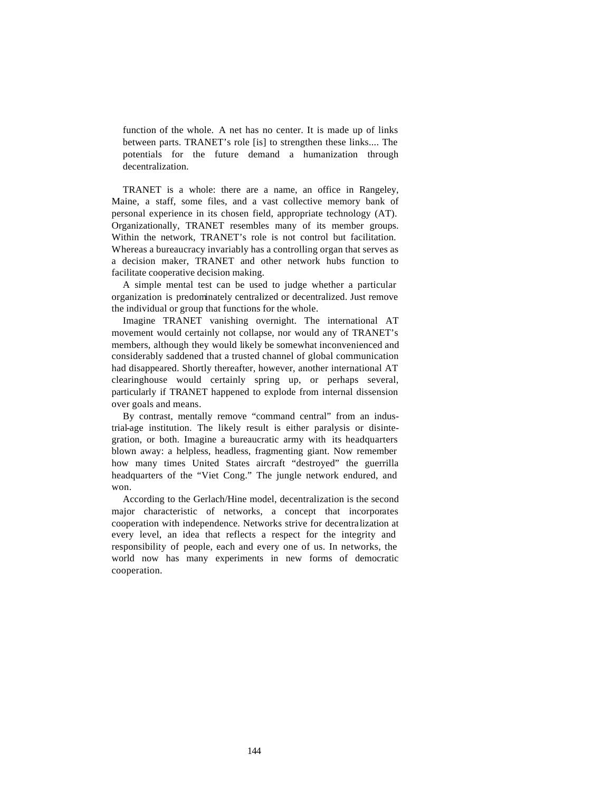function of the whole. A net has no center. It is made up of links between parts. TRANET's role [is] to strengthen these links.... The potentials for the future demand a humanization through decentralization.

TRANET is a whole: there are a name, an office in Rangeley, Maine, a staff, some files, and a vast collective memory bank of personal experience in its chosen field, appropriate technology (AT). Organizationally, TRANET resembles many of its member groups. Within the network, TRANET's role is not control but facilitation. Whereas a bureaucracy invariably has a controlling organ that serves as a decision maker, TRANET and other network hubs function to facilitate cooperative decision making.

A simple mental test can be used to judge whether a particular organization is predominately centralized or decentralized. Just remove the individual or group that functions for the whole.

Imagine TRANET vanishing overnight. The international AT movement would certainly not collapse, nor would any of TRANET's members, although they would likely be somewhat inconvenienced and considerably saddened that a trusted channel of global communication had disappeared. Shortly thereafter, however, another international AT clearinghouse would certainly spring up, or perhaps several, particularly if TRANET happened to explode from internal dissension over goals and means.

By contrast, mentally remove "command central" from an industrial-age institution. The likely result is either paralysis or disintegration, or both. Imagine a bureaucratic army with its headquarters blown away: a helpless, headless, fragmenting giant. Now remember how many times United States aircraft "destroyed" the guerrilla headquarters of the "Viet Cong." The jungle network endured, and won.

According to the Gerlach/Hine model, decentralization is the second major characteristic of networks, a concept that incorporates cooperation with independence. Networks strive for decentralization at every level, an idea that reflects a respect for the integrity and responsibility of people, each and every one of us. In networks, the world now has many experiments in new forms of democratic cooperation.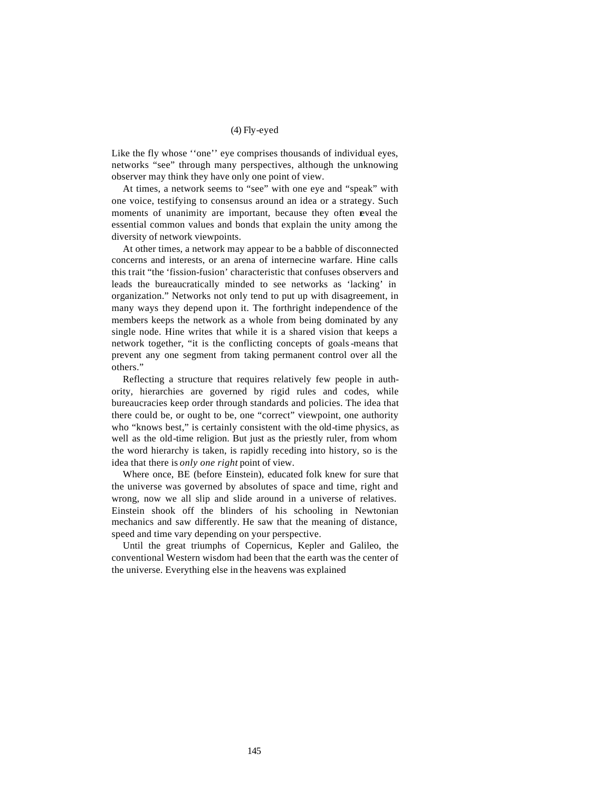#### (4) Fly-eyed

Like the fly whose ''one'' eye comprises thousands of individual eyes, networks "see" through many perspectives, although the unknowing observer may think they have only one point of view.

At times, a network seems to "see" with one eye and "speak" with one voice, testifying to consensus around an idea or a strategy. Such moments of unanimity are important, because they often reveal the essential common values and bonds that explain the unity among the diversity of network viewpoints.

At other times, a network may appear to be a babble of disconnected concerns and interests, or an arena of internecine warfare. Hine calls this trait "the 'fission-fusion' characteristic that confuses observers and leads the bureaucratically minded to see networks as 'lacking' in organization." Networks not only tend to put up with disagreement, in many ways they depend upon it. The forthright independence of the members keeps the network as a whole from being dominated by any single node. Hine writes that while it is a shared vision that keeps a network together, "it is the conflicting concepts of goals-means that prevent any one segment from taking permanent control over all the others."

Reflecting a structure that requires relatively few people in authority, hierarchies are governed by rigid rules and codes, while bureaucracies keep order through standards and policies. The idea that there could be, or ought to be, one "correct" viewpoint, one authority who "knows best," is certainly consistent with the old-time physics, as well as the old-time religion. But just as the priestly ruler, from whom the word hierarchy is taken, is rapidly receding into history, so is the idea that there is *only one right* point of view.

Where once, BE (before Einstein), educated folk knew for sure that the universe was governed by absolutes of space and time, right and wrong, now we all slip and slide around in a universe of relatives. Einstein shook off the blinders of his schooling in Newtonian mechanics and saw differently. He saw that the meaning of distance, speed and time vary depending on your perspective.

Until the great triumphs of Copernicus, Kepler and Galileo, the conventional Western wisdom had been that the earth was the center of the universe. Everything else in the heavens was explained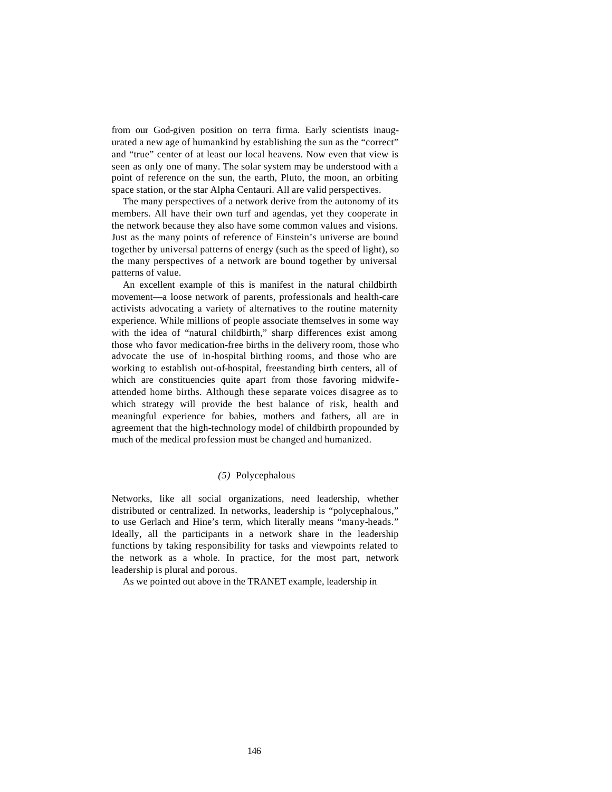from our God-given position on terra firma. Early scientists inaugurated a new age of humankind by establishing the sun as the "correct" and "true" center of at least our local heavens. Now even that view is seen as only one of many. The solar system may be understood with a point of reference on the sun, the earth, Pluto, the moon, an orbiting space station, or the star Alpha Centauri. All are valid perspectives.

The many perspectives of a network derive from the autonomy of its members. All have their own turf and agendas, yet they cooperate in the network because they also have some common values and visions. Just as the many points of reference of Einstein's universe are bound together by universal patterns of energy (such as the speed of light), so the many perspectives of a network are bound together by universal patterns of value.

An excellent example of this is manifest in the natural childbirth movement—a loose network of parents, professionals and health-care activists advocating a variety of alternatives to the routine maternity experience. While millions of people associate themselves in some way with the idea of "natural childbirth," sharp differences exist among those who favor medication-free births in the delivery room, those who advocate the use of in-hospital birthing rooms, and those who are working to establish out-of-hospital, freestanding birth centers, all of which are constituencies quite apart from those favoring midwifeattended home births. Although these separate voices disagree as to which strategy will provide the best balance of risk, health and meaningful experience for babies, mothers and fathers, all are in agreement that the high-technology model of childbirth propounded by much of the medical profession must be changed and humanized.

# *(5)* Polycephalous

Networks, like all social organizations, need leadership, whether distributed or centralized. In networks, leadership is "polycephalous," to use Gerlach and Hine's term, which literally means "many-heads." Ideally, all the participants in a network share in the leadership functions by taking responsibility for tasks and viewpoints related to the network as a whole. In practice, for the most part, network leadership is plural and porous.

As we pointed out above in the TRANET example, leadership in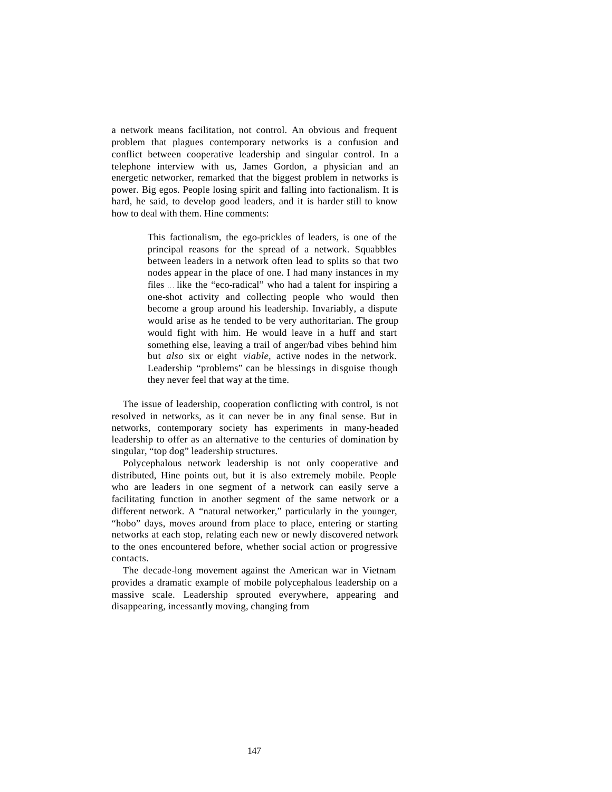a network means facilitation, not control. An obvious and frequent problem that plagues contemporary networks is a confusion and conflict between cooperative leadership and singular control. In a telephone interview with us, James Gordon, a physician and an energetic networker, remarked that the biggest problem in networks is power. Big egos. People losing spirit and falling into factionalism. It is hard, he said, to develop good leaders, and it is harder still to know how to deal with them. Hine comments:

> This factionalism, the ego-prickles of leaders, is one of the principal reasons for the spread of a network. Squabbles between leaders in a network often lead to splits so that two nodes appear in the place of one. I had many instances in my files ... like the "eco-radical" who had a talent for inspiring a one-shot activity and collecting people who would then become a group around his leadership. Invariably, a dispute would arise as he tended to be very authoritarian. The group would fight with him. He would leave in a huff and start something else, leaving a trail of anger/bad vibes behind him but *also* six or eight *viable,* active nodes in the network. Leadership "problems" can be blessings in disguise though they never feel that way at the time.

The issue of leadership, cooperation conflicting with control, is not resolved in networks, as it can never be in any final sense. But in networks, contemporary society has experiments in many-headed leadership to offer as an alternative to the centuries of domination by singular, "top dog" leadership structures.

Polycephalous network leadership is not only cooperative and distributed, Hine points out, but it is also extremely mobile. People who are leaders in one segment of a network can easily serve a facilitating function in another segment of the same network or a different network. A "natural networker," particularly in the younger, "hobo" days, moves around from place to place, entering or starting networks at each stop, relating each new or newly discovered network to the ones encountered before, whether social action or progressive contacts.

The decade-long movement against the American war in Vietnam provides a dramatic example of mobile polycephalous leadership on a massive scale. Leadership sprouted everywhere, appearing and disappearing, incessantly moving, changing from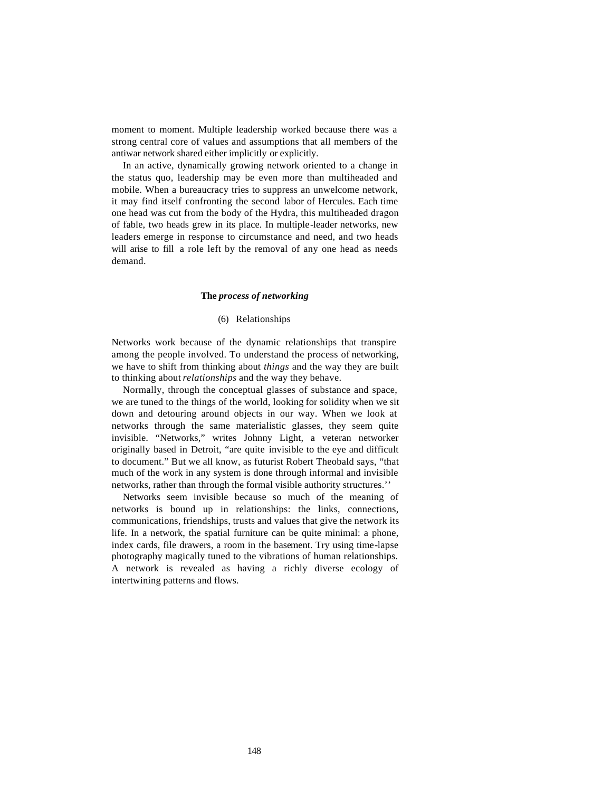moment to moment. Multiple leadership worked because there was a strong central core of values and assumptions that all members of the antiwar network shared either implicitly or explicitly.

In an active, dynamically growing network oriented to a change in the status quo, leadership may be even more than multiheaded and mobile. When a bureaucracy tries to suppress an unwelcome network, it may find itself confronting the second labor of Hercules. Each time one head was cut from the body of the Hydra, this multiheaded dragon of fable, two heads grew in its place. In multiple-leader networks, new leaders emerge in response to circumstance and need, and two heads will arise to fill a role left by the removal of any one head as needs demand.

#### **The** *process of networking*

#### (6) Relationships

Networks work because of the dynamic relationships that transpire among the people involved. To understand the process of networking, we have to shift from thinking about *things* and the way they are built to thinking about *relationships* and the way they behave.

Normally, through the conceptual glasses of substance and space, we are tuned to the things of the world, looking for solidity when we sit down and detouring around objects in our way. When we look at networks through the same materialistic glasses, they seem quite invisible. "Networks," writes Johnny Light, a veteran networker originally based in Detroit, "are quite invisible to the eye and difficult to document." But we all know, as futurist Robert Theobald says, "that much of the work in any system is done through informal and invisible networks, rather than through the formal visible authority structures.''

Networks seem invisible because so much of the meaning of networks is bound up in relationships: the links, connections, communications, friendships, trusts and values that give the network its life. In a network, the spatial furniture can be quite minimal: a phone, index cards, file drawers, a room in the basement. Try using time-lapse photography magically tuned to the vibrations of human relationships. A network is revealed as having a richly diverse ecology of intertwining patterns and flows.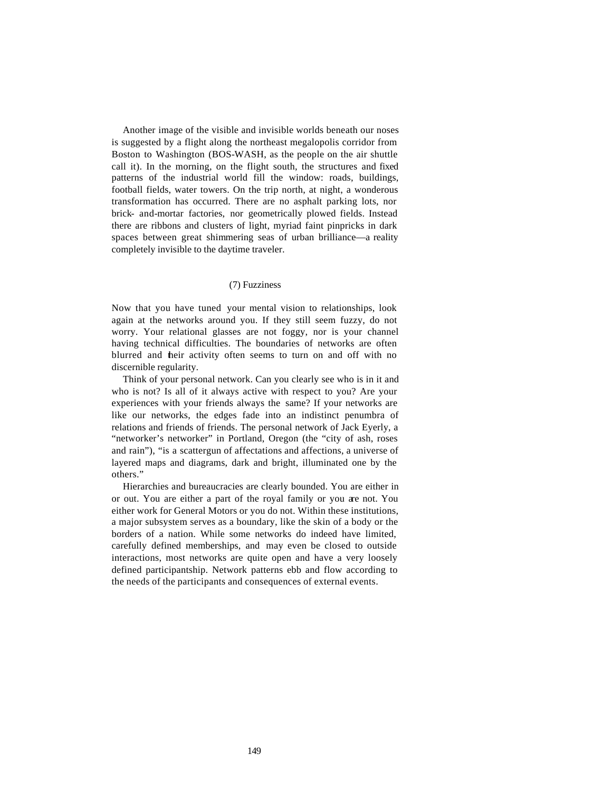Another image of the visible and invisible worlds beneath our noses is suggested by a flight along the northeast megalopolis corridor from Boston to Washington (BOS-WASH, as the people on the air shuttle call it). In the morning, on the flight south, the structures and fixed patterns of the industrial world fill the window: roads, buildings, football fields, water towers. On the trip north, at night, a wonderous transformation has occurred. There are no asphalt parking lots, nor brick- and-mortar factories, nor geometrically plowed fields. Instead there are ribbons and clusters of light, myriad faint pinpricks in dark spaces between great shimmering seas of urban brilliance—a reality completely invisible to the daytime traveler.

## (7) Fuzziness

Now that you have tuned your mental vision to relationships, look again at the networks around you. If they still seem fuzzy, do not worry. Your relational glasses are not foggy, nor is your channel having technical difficulties. The boundaries of networks are often blurred and their activity often seems to turn on and off with no discernible regularity.

Think of your personal network. Can you clearly see who is in it and who is not? Is all of it always active with respect to you? Are your experiences with your friends always the same? If your networks are like our networks, the edges fade into an indistinct penumbra of relations and friends of friends. The personal network of Jack Eyerly, a "networker's networker" in Portland, Oregon (the "city of ash, roses and rain"), "is a scattergun of affectations and affections, a universe of layered maps and diagrams, dark and bright, illuminated one by the others."

Hierarchies and bureaucracies are clearly bounded. You are either in or out. You are either a part of the royal family or you are not. You either work for General Motors or you do not. Within these institutions, a major subsystem serves as a boundary, like the skin of a body or the borders of a nation. While some networks do indeed have limited, carefully defined memberships, and may even be closed to outside interactions, most networks are quite open and have a very loosely defined participantship. Network patterns ebb and flow according to the needs of the participants and consequences of external events.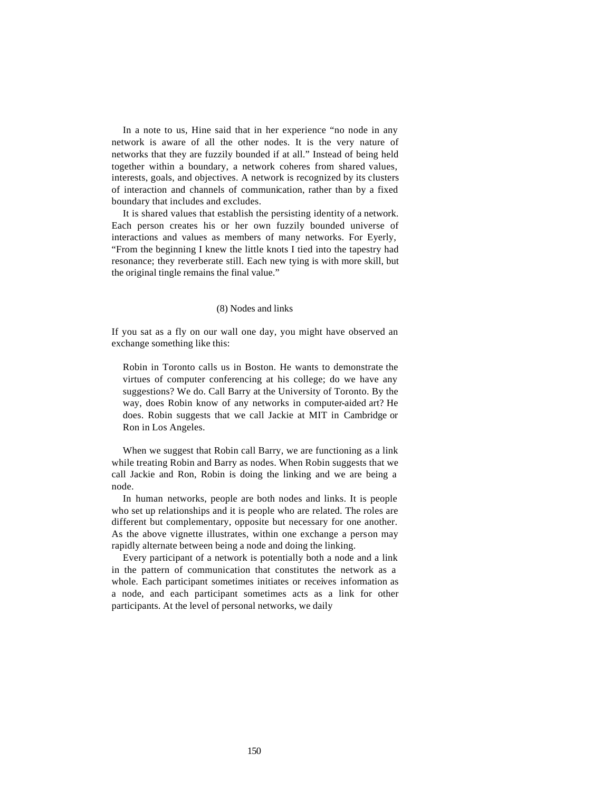In a note to us, Hine said that in her experience "no node in any network is aware of all the other nodes. It is the very nature of networks that they are fuzzily bounded if at all." Instead of being held together within a boundary, a network coheres from shared values, interests, goals, and objectives. A network is recognized by its clusters of interaction and channels of communication, rather than by a fixed boundary that includes and excludes.

It is shared values that establish the persisting identity of a network. Each person creates his or her own fuzzily bounded universe of interactions and values as members of many networks. For Eyerly, "From the beginning I knew the little knots I tied into the tapestry had resonance; they reverberate still. Each new tying is with more skill, but the original tingle remains the final value."

## (8) Nodes and links

If you sat as a fly on our wall one day, you might have observed an exchange something like this:

Robin in Toronto calls us in Boston. He wants to demonstrate the virtues of computer conferencing at his college; do we have any suggestions? We do. Call Barry at the University of Toronto. By the way, does Robin know of any networks in computer-aided art? He does. Robin suggests that we call Jackie at MIT in Cambridge or Ron in Los Angeles.

When we suggest that Robin call Barry, we are functioning as a link while treating Robin and Barry as nodes. When Robin suggests that we call Jackie and Ron, Robin is doing the linking and we are being a node.

In human networks, people are both nodes and links. It is people who set up relationships and it is people who are related. The roles are different but complementary, opposite but necessary for one another. As the above vignette illustrates, within one exchange a person may rapidly alternate between being a node and doing the linking.

Every participant of a network is potentially both a node and a link in the pattern of communication that constitutes the network as a whole. Each participant sometimes initiates or receives information as a node, and each participant sometimes acts as a link for other participants. At the level of personal networks, we daily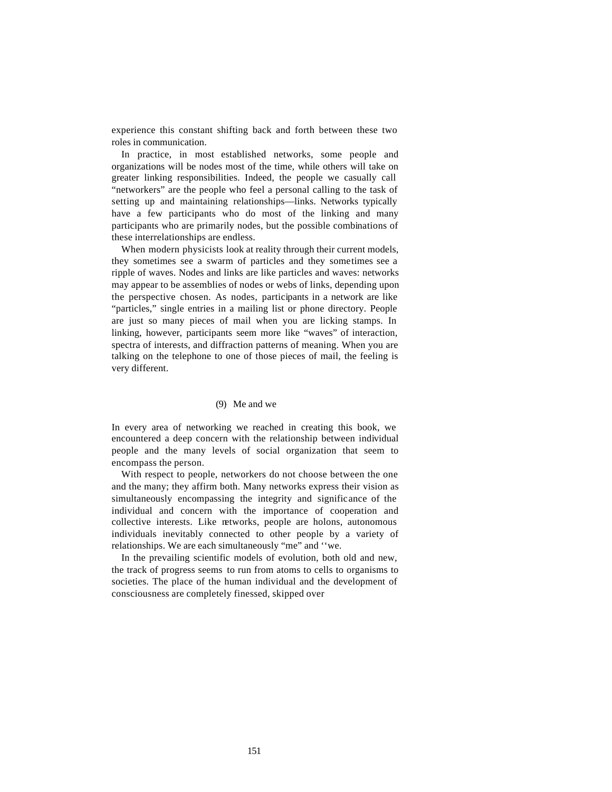experience this constant shifting back and forth between these two roles in communication.

In practice, in most established networks, some people and organizations will be nodes most of the time, while others will take on greater linking responsibilities. Indeed, the people we casually call "networkers" are the people who feel a personal calling to the task of setting up and maintaining relationships—links. Networks typically have a few participants who do most of the linking and many participants who are primarily nodes, but the possible combinations of these interrelationships are endless.

When modern physicists look at reality through their current models, they sometimes see a swarm of particles and they sometimes see a ripple of waves. Nodes and links are like particles and waves: networks may appear to be assemblies of nodes or webs of links, depending upon the perspective chosen. As nodes, participants in a network are like "particles," single entries in a mailing list or phone directory. People are just so many pieces of mail when you are licking stamps. In linking, however, participants seem more like "waves" of interaction, spectra of interests, and diffraction patterns of meaning. When you are talking on the telephone to one of those pieces of mail, the feeling is very different.

#### (9) Me and we

In every area of networking we reached in creating this book, we encountered a deep concern with the relationship between individual people and the many levels of social organization that seem to encompass the person.

With respect to people, networkers do not choose between the one and the many; they affirm both. Many networks express their vision as simultaneously encompassing the integrity and significance of the individual and concern with the importance of cooperation and collective interests. Like networks, people are holons, autonomous individuals inevitably connected to other people by a variety of relationships. We are each simultaneously "me" and ''we.

In the prevailing scientific models of evolution, both old and new, the track of progress seems to run from atoms to cells to organisms to societies. The place of the human individual and the development of consciousness are completely finessed, skipped over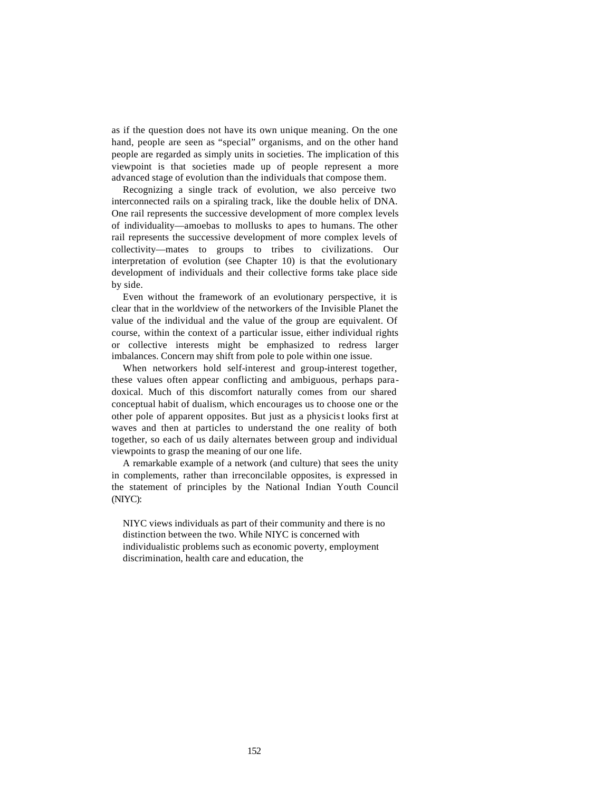as if the question does not have its own unique meaning. On the one hand, people are seen as "special" organisms, and on the other hand people are regarded as simply units in societies. The implication of this viewpoint is that societies made up of people represent a more advanced stage of evolution than the individuals that compose them.

Recognizing a single track of evolution, we also perceive two interconnected rails on a spiraling track, like the double helix of DNA. One rail represents the successive development of more complex levels of individuality—amoebas to mollusks to apes to humans. The other rail represents the successive development of more complex levels of collectivity—mates to groups to tribes to civilizations. Our interpretation of evolution (see Chapter 10) is that the evolutionary development of individuals and their collective forms take place side by side.

Even without the framework of an evolutionary perspective, it is clear that in the worldview of the networkers of the Invisible Planet the value of the individual and the value of the group are equivalent. Of course, within the context of a particular issue, either individual rights or collective interests might be emphasized to redress larger imbalances. Concern may shift from pole to pole within one issue.

When networkers hold self-interest and group-interest together, these values often appear conflicting and ambiguous, perhaps paradoxical. Much of this discomfort naturally comes from our shared conceptual habit of dualism, which encourages us to choose one or the other pole of apparent opposites. But just as a physicist looks first at waves and then at particles to understand the one reality of both together, so each of us daily alternates between group and individual viewpoints to grasp the meaning of our one life.

A remarkable example of a network (and culture) that sees the unity in complements, rather than irreconcilable opposites, is expressed in the statement of principles by the National Indian Youth Council (NIYC):

NIYC views individuals as part of their community and there is no distinction between the two. While NIYC is concerned with individualistic problems such as economic poverty, employment discrimination, health care and education, the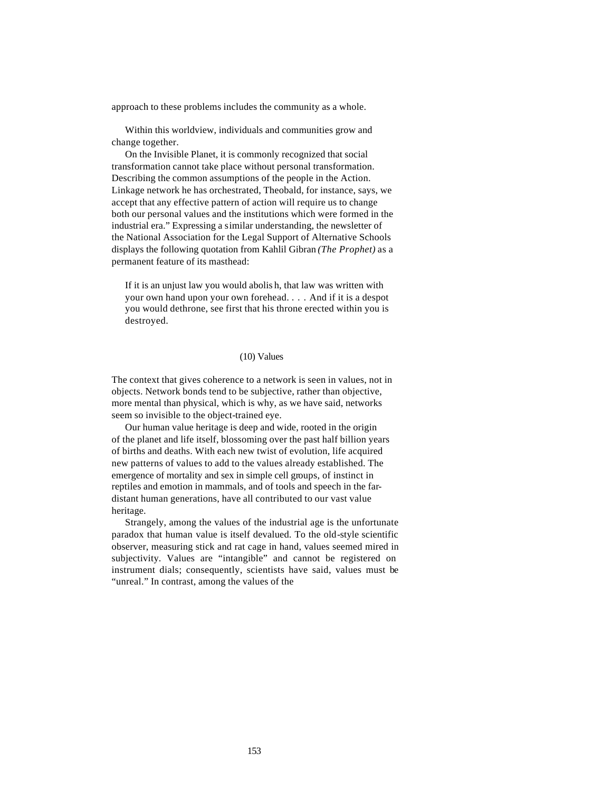approach to these problems includes the community as a whole.

Within this worldview, individuals and communities grow and change together.

On the Invisible Planet, it is commonly recognized that social transformation cannot take place without personal transformation. Describing the common assumptions of the people in the Action. Linkage network he has orchestrated, Theobald, for instance, says, we accept that any effective pattern of action will require us to change both our personal values and the institutions which were formed in the industrial era." Expressing a similar understanding, the newsletter of the National Association for the Legal Support of Alternative Schools displays the following quotation from Kahlil Gibran *(The Prophet)* as a permanent feature of its masthead:

If it is an unjust law you would abolis h, that law was written with your own hand upon your own forehead. . . . And if it is a despot you would dethrone, see first that his throne erected within you is destroyed.

# (10) Values

The context that gives coherence to a network is seen in values, not in objects. Network bonds tend to be subjective, rather than objective, more mental than physical, which is why, as we have said, networks seem so invisible to the object-trained eye.

Our human value heritage is deep and wide, rooted in the origin of the planet and life itself, blossoming over the past half billion years of births and deaths. With each new twist of evolution, life acquired new patterns of values to add to the values already established. The emergence of mortality and sex in simple cell groups, of instinct in reptiles and emotion in mammals, and of tools and speech in the fardistant human generations, have all contributed to our vast value heritage.

Strangely, among the values of the industrial age is the unfortunate paradox that human value is itself devalued. To the old-style scientific observer, measuring stick and rat cage in hand, values seemed mired in subjectivity. Values are "intangible" and cannot be registered on instrument dials; consequently, scientists have said, values must be "unreal." In contrast, among the values of the